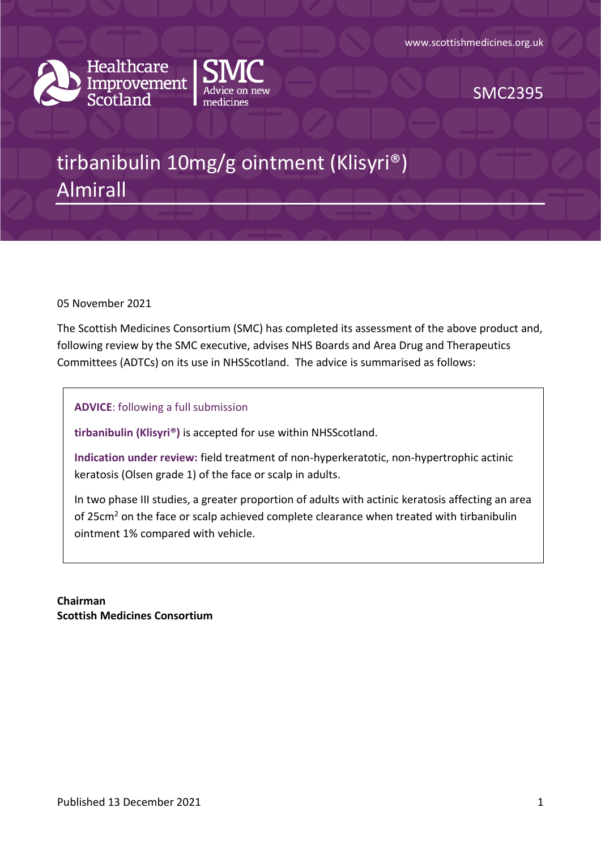



SMC2395

# tirbanibulin 10mg/g ointment (Klisyri®) Almirall

05 November 2021

The Scottish Medicines Consortium (SMC) has completed its assessment of the above product and, following review by the SMC executive, advises NHS Boards and Area Drug and Therapeutics Committees (ADTCs) on its use in NHSScotland. The advice is summarised as follows:

**ADVICE**: following a full submission

**tirbanibulin (Klisyri®)** is accepted for use within NHSScotland.

**Indication under review:** field treatment of non-hyperkeratotic, non-hypertrophic actinic keratosis (Olsen grade 1) of the face or scalp in adults.

In two phase III studies, a greater proportion of adults with actinic keratosis affecting an area of 25cm<sup>2</sup> on the face or scalp achieved complete clearance when treated with tirbanibulin ointment 1% compared with vehicle.

**Chairman Scottish Medicines Consortium**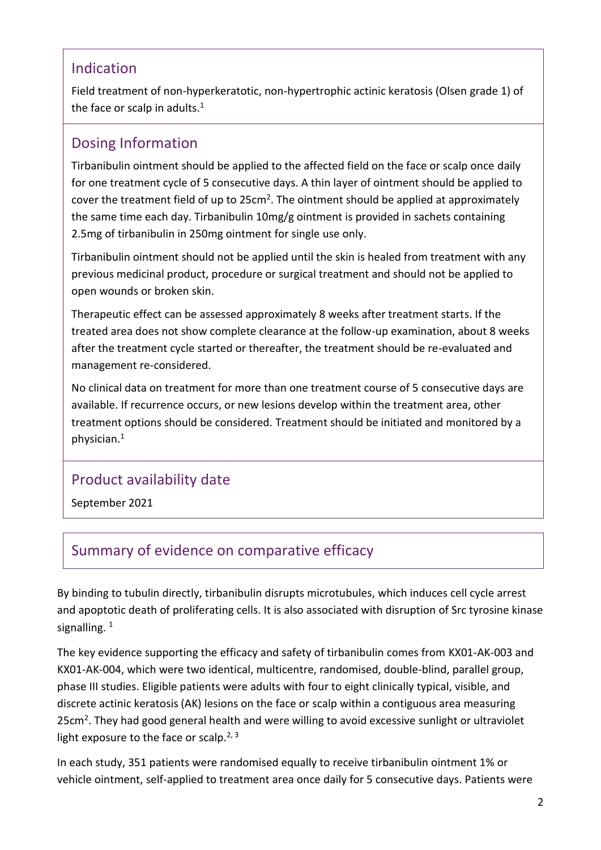#### Indication

Field treatment of non-hyperkeratotic, non-hypertrophic actinic keratosis (Olsen grade 1) of the face or scalp in adults.<sup>1</sup>

### Dosing Information

Tirbanibulin ointment should be applied to the affected field on the face or scalp once daily for one treatment cycle of 5 consecutive days. A thin layer of ointment should be applied to cover the treatment field of up to  $25cm^2$ . The ointment should be applied at approximately the same time each day. Tirbanibulin 10mg/g ointment is provided in sachets containing 2.5mg of tirbanibulin in 250mg ointment for single use only.

Tirbanibulin ointment should not be applied until the skin is healed from treatment with any previous medicinal product, procedure or surgical treatment and should not be applied to open wounds or broken skin.

Therapeutic effect can be assessed approximately 8 weeks after treatment starts. If the treated area does not show complete clearance at the follow-up examination, about 8 weeks after the treatment cycle started or thereafter, the treatment should be re-evaluated and management re-considered.

No clinical data on treatment for more than one treatment course of 5 consecutive days are available. If recurrence occurs, or new lesions develop within the treatment area, other treatment options should be considered. Treatment should be initiated and monitored by a physician.<sup>1</sup>

#### Product availability date

September 2021

## Summary of evidence on comparative efficacy

By binding to tubulin directly, tirbanibulin disrupts microtubules, which induces cell cycle arrest and apoptotic death of proliferating cells. It is also associated with disruption of Src tyrosine kinase signalling.<sup>1</sup>

The key evidence supporting the efficacy and safety of tirbanibulin comes from KX01-AK-003 and KX01-AK-004, which were two identical, multicentre, randomised, double-blind, parallel group, phase III studies. Eligible patients were adults with four to eight clinically typical, visible, and discrete actinic keratosis (AK) lesions on the face or scalp within a contiguous area measuring 25cm<sup>2</sup>. They had good general health and were willing to avoid excessive sunlight or ultraviolet light exposure to the face or scalp.<sup>2, 3</sup>

In each study, 351 patients were randomised equally to receive tirbanibulin ointment 1% or vehicle ointment, self-applied to treatment area once daily for 5 consecutive days. Patients were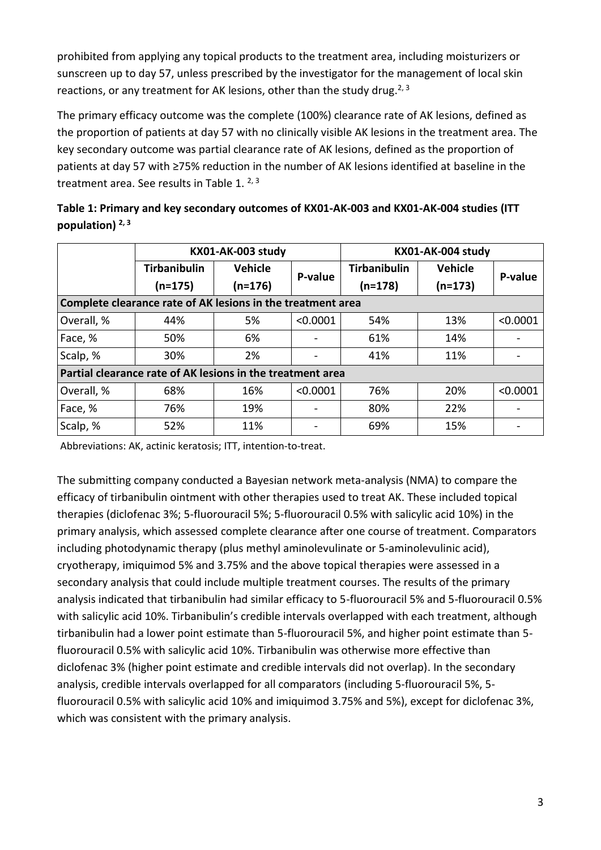prohibited from applying any topical products to the treatment area, including moisturizers or sunscreen up to day 57, unless prescribed by the investigator for the management of local skin reactions, or any treatment for AK lesions, other than the study drug.<sup>2, 3</sup>

The primary efficacy outcome was the complete (100%) clearance rate of AK lesions, defined as the proportion of patients at day 57 with no clinically visible AK lesions in the treatment area. The key secondary outcome was partial clearance rate of AK lesions, defined as the proportion of patients at day 57 with ≥75% reduction in the number of AK lesions identified at baseline in the treatment area. See results in Table 1.  $2,3$ 

| Table 1: Primary and key secondary outcomes of KX01-AK-003 and KX01-AK-004 studies (ITT |
|-----------------------------------------------------------------------------------------|
| population) $2,3$                                                                       |

|                                                                                                                 | <b>KX01-AK-003 study</b> |         |          | KX01-AK-004 study   |         |          |  |
|-----------------------------------------------------------------------------------------------------------------|--------------------------|---------|----------|---------------------|---------|----------|--|
|                                                                                                                 | <b>Tirbanibulin</b>      | Vehicle | P-value  | <b>Tirbanibulin</b> | Vehicle | P-value  |  |
| $(n=175)$<br>$(n=176)$<br>$(n=178)$<br>$(n=173)$<br>Complete clearance rate of AK lesions in the treatment area |                          |         |          |                     |         |          |  |
| Overall, %                                                                                                      | 44%                      | 5%      | < 0.0001 | 54%                 | 13%     | < 0.0001 |  |
| Face, %                                                                                                         | 50%                      | 6%      |          | 61%                 | 14%     |          |  |
| Scalp, %                                                                                                        | 30%                      | 2%      |          | 41%                 | 11%     |          |  |
| Partial clearance rate of AK lesions in the treatment area                                                      |                          |         |          |                     |         |          |  |
| Overall, %                                                                                                      | 68%                      | 16%     | < 0.0001 | 76%                 | 20%     | < 0.0001 |  |
| Face, %                                                                                                         | 76%                      | 19%     |          | 80%                 | 22%     |          |  |
| Scalp, %                                                                                                        | 52%                      | 11%     |          | 69%                 | 15%     |          |  |

Abbreviations: AK, actinic keratosis; ITT, intention-to-treat.

The submitting company conducted a Bayesian network meta-analysis (NMA) to compare the efficacy of tirbanibulin ointment with other therapies used to treat AK. These included topical therapies (diclofenac 3%; 5-fluorouracil 5%; 5-fluorouracil 0.5% with salicylic acid 10%) in the primary analysis, which assessed complete clearance after one course of treatment. Comparators including photodynamic therapy (plus methyl aminolevulinate or 5-aminolevulinic acid), cryotherapy, imiquimod 5% and 3.75% and the above topical therapies were assessed in a secondary analysis that could include multiple treatment courses. The results of the primary analysis indicated that tirbanibulin had similar efficacy to 5-fluorouracil 5% and 5-fluorouracil 0.5% with salicylic acid 10%. Tirbanibulin's credible intervals overlapped with each treatment, although tirbanibulin had a lower point estimate than 5-fluorouracil 5%, and higher point estimate than 5 fluorouracil 0.5% with salicylic acid 10%. Tirbanibulin was otherwise more effective than diclofenac 3% (higher point estimate and credible intervals did not overlap). In the secondary analysis, credible intervals overlapped for all comparators (including 5-fluorouracil 5%, 5 fluorouracil 0.5% with salicylic acid 10% and imiquimod 3.75% and 5%), except for diclofenac 3%, which was consistent with the primary analysis.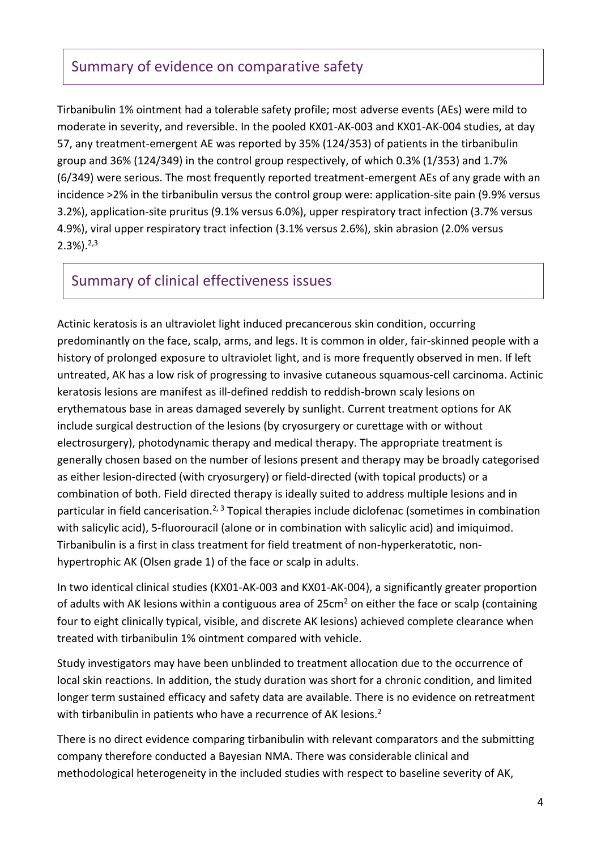#### Summary of evidence on comparative safety

Tirbanibulin 1% ointment had a tolerable safety profile; most adverse events (AEs) were mild to moderate in severity, and reversible. In the pooled KX01-AK-003 and KX01-AK-004 studies, at day 57, any treatment-emergent AE was reported by 35% (124/353) of patients in the tirbanibulin group and 36% (124/349) in the control group respectively, of which 0.3% (1/353) and 1.7% (6/349) were serious. The most frequently reported treatment-emergent AEs of any grade with an incidence >2% in the tirbanibulin versus the control group were: application-site pain (9.9% versus 3.2%), application-site pruritus (9.1% versus 6.0%), upper respiratory tract infection (3.7% versus 4.9%), viral upper respiratory tract infection (3.1% versus 2.6%), skin abrasion (2.0% versus  $2.3\%$ ).  $2.3\%$ 

#### Summary of clinical effectiveness issues

Actinic keratosis is an ultraviolet light induced precancerous skin condition, occurring predominantly on the face, scalp, arms, and legs. It is common in older, fair-skinned people with a history of prolonged exposure to ultraviolet light, and is more frequently observed in men. If left untreated, AK has a low risk of progressing to invasive cutaneous squamous-cell carcinoma. Actinic keratosis lesions are manifest as ill-defined reddish to reddish-brown scaly lesions on erythematous base in areas damaged severely by sunlight. Current treatment options for AK include surgical destruction of the lesions (by cryosurgery or curettage with or without electrosurgery), photodynamic therapy and medical therapy. The appropriate treatment is generally chosen based on the number of lesions present and therapy may be broadly categorised as either lesion-directed (with cryosurgery) or field-directed (with topical products) or a combination of both. Field directed therapy is ideally suited to address multiple lesions and in particular in field cancerisation.<sup>2, 3</sup> Topical therapies include diclofenac (sometimes in combination with salicylic acid), 5-fluorouracil (alone or in combination with salicylic acid) and imiquimod. Tirbanibulin is a first in class treatment for field treatment of non-hyperkeratotic, nonhypertrophic AK (Olsen grade 1) of the face or scalp in adults.

In two identical clinical studies (KX01-AK-003 and KX01-AK-004), a significantly greater proportion of adults with AK lesions within a contiguous area of  $25 \text{cm}^2$  on either the face or scalp (containing four to eight clinically typical, visible, and discrete AK lesions) achieved complete clearance when treated with tirbanibulin 1% ointment compared with vehicle.

Study investigators may have been unblinded to treatment allocation due to the occurrence of local skin reactions. In addition, the study duration was short for a chronic condition, and limited longer term sustained efficacy and safety data are available. There is no evidence on retreatment with tirbanibulin in patients who have a recurrence of AK lesions.<sup>2</sup>

There is no direct evidence comparing tirbanibulin with relevant comparators and the submitting company therefore conducted a Bayesian NMA. There was considerable clinical and methodological heterogeneity in the included studies with respect to baseline severity of AK,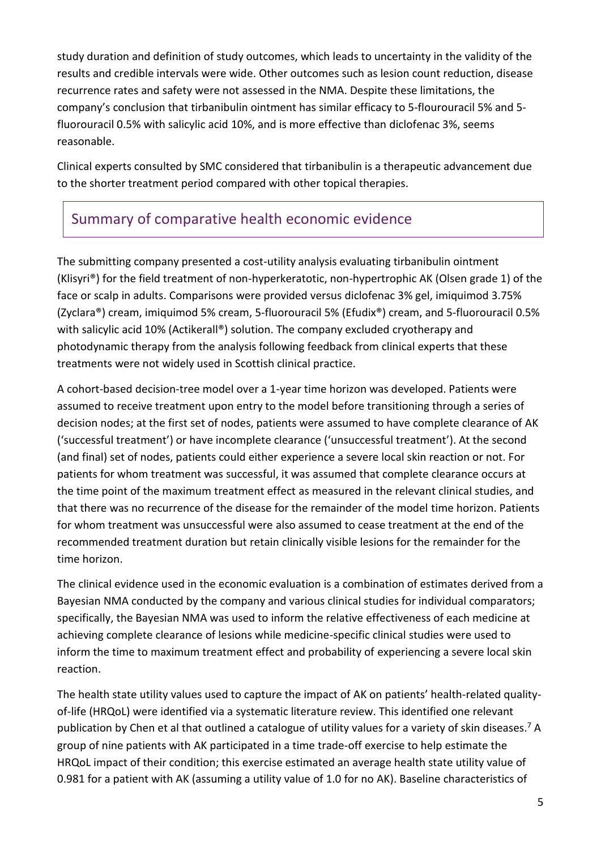study duration and definition of study outcomes, which leads to uncertainty in the validity of the results and credible intervals were wide. Other outcomes such as lesion count reduction, disease recurrence rates and safety were not assessed in the NMA. Despite these limitations, the company's conclusion that tirbanibulin ointment has similar efficacy to 5-flourouracil 5% and 5 fluorouracil 0.5% with salicylic acid 10%, and is more effective than diclofenac 3%, seems reasonable.

Clinical experts consulted by SMC considered that tirbanibulin is a therapeutic advancement due to the shorter treatment period compared with other topical therapies.

## Summary of comparative health economic evidence

The submitting company presented a cost-utility analysis evaluating tirbanibulin ointment (Klisyri®) for the field treatment of non-hyperkeratotic, non-hypertrophic AK (Olsen grade 1) of the face or scalp in adults. Comparisons were provided versus diclofenac 3% gel, imiquimod 3.75% (Zyclara®) cream, imiquimod 5% cream, 5-fluorouracil 5% (Efudix®) cream, and 5-fluorouracil 0.5% with salicylic acid 10% (Actikerall®) solution. The company excluded cryotherapy and photodynamic therapy from the analysis following feedback from clinical experts that these treatments were not widely used in Scottish clinical practice.

A cohort-based decision-tree model over a 1-year time horizon was developed. Patients were assumed to receive treatment upon entry to the model before transitioning through a series of decision nodes; at the first set of nodes, patients were assumed to have complete clearance of AK ('successful treatment') or have incomplete clearance ('unsuccessful treatment'). At the second (and final) set of nodes, patients could either experience a severe local skin reaction or not. For patients for whom treatment was successful, it was assumed that complete clearance occurs at the time point of the maximum treatment effect as measured in the relevant clinical studies, and that there was no recurrence of the disease for the remainder of the model time horizon. Patients for whom treatment was unsuccessful were also assumed to cease treatment at the end of the recommended treatment duration but retain clinically visible lesions for the remainder for the time horizon.

The clinical evidence used in the economic evaluation is a combination of estimates derived from a Bayesian NMA conducted by the company and various clinical studies for individual comparators; specifically, the Bayesian NMA was used to inform the relative effectiveness of each medicine at achieving complete clearance of lesions while medicine-specific clinical studies were used to inform the time to maximum treatment effect and probability of experiencing a severe local skin reaction.

The health state utility values used to capture the impact of AK on patients' health-related qualityof-life (HRQoL) were identified via a systematic literature review. This identified one relevant publication by Chen et al that outlined a catalogue of utility values for a variety of skin diseases.<sup>7</sup> A group of nine patients with AK participated in a time trade-off exercise to help estimate the HRQoL impact of their condition; this exercise estimated an average health state utility value of 0.981 for a patient with AK (assuming a utility value of 1.0 for no AK). Baseline characteristics of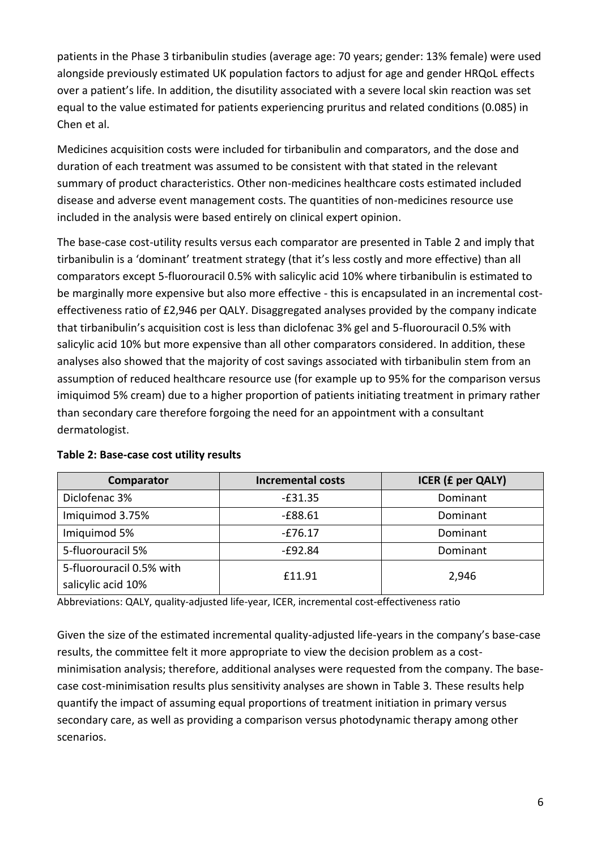patients in the Phase 3 tirbanibulin studies (average age: 70 years; gender: 13% female) were used alongside previously estimated UK population factors to adjust for age and gender HRQoL effects over a patient's life. In addition, the disutility associated with a severe local skin reaction was set equal to the value estimated for patients experiencing pruritus and related conditions (0.085) in Chen et al.

Medicines acquisition costs were included for tirbanibulin and comparators, and the dose and duration of each treatment was assumed to be consistent with that stated in the relevant summary of product characteristics. Other non-medicines healthcare costs estimated included disease and adverse event management costs. The quantities of non-medicines resource use included in the analysis were based entirely on clinical expert opinion.

The base-case cost-utility results versus each comparator are presented in Table 2 and imply that tirbanibulin is a 'dominant' treatment strategy (that it's less costly and more effective) than all comparators except 5-fluorouracil 0.5% with salicylic acid 10% where tirbanibulin is estimated to be marginally more expensive but also more effective - this is encapsulated in an incremental costeffectiveness ratio of £2,946 per QALY. Disaggregated analyses provided by the company indicate that tirbanibulin's acquisition cost is less than diclofenac 3% gel and 5-fluorouracil 0.5% with salicylic acid 10% but more expensive than all other comparators considered. In addition, these analyses also showed that the majority of cost savings associated with tirbanibulin stem from an assumption of reduced healthcare resource use (for example up to 95% for the comparison versus imiquimod 5% cream) due to a higher proportion of patients initiating treatment in primary rather than secondary care therefore forgoing the need for an appointment with a consultant dermatologist.

| Comparator               | <b>Incremental costs</b> | <b>ICER (£ per QALY)</b> |  |
|--------------------------|--------------------------|--------------------------|--|
| Diclofenac 3%            | $-£31.35$                | Dominant                 |  |
| Imiquimod 3.75%          | $-E88.61$                | Dominant                 |  |
| Imiquimod 5%             | $-£76.17$                | Dominant                 |  |
| 5-fluorouracil 5%        | -£92.84                  | Dominant                 |  |
| 5-fluorouracil 0.5% with | £11.91                   | 2,946                    |  |
| salicylic acid 10%       |                          |                          |  |

#### **Table 2: Base-case cost utility results**

Abbreviations: QALY, quality-adjusted life-year, ICER, incremental cost-effectiveness ratio

Given the size of the estimated incremental quality-adjusted life-years in the company's base-case results, the committee felt it more appropriate to view the decision problem as a costminimisation analysis; therefore, additional analyses were requested from the company. The basecase cost-minimisation results plus sensitivity analyses are shown in Table 3. These results help quantify the impact of assuming equal proportions of treatment initiation in primary versus secondary care, as well as providing a comparison versus photodynamic therapy among other scenarios.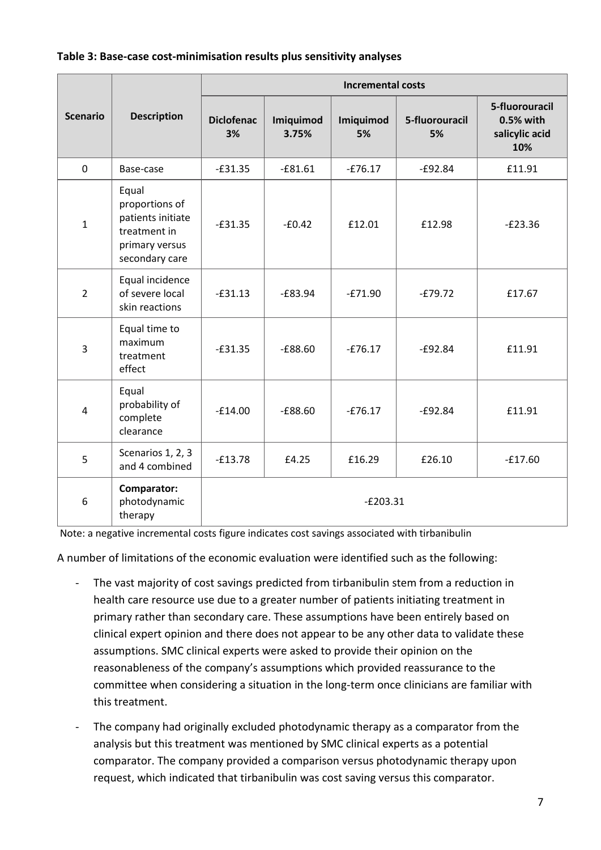|                 |                                                                                                  | <b>Incremental costs</b> |                    |                 |                      |                                                      |  |
|-----------------|--------------------------------------------------------------------------------------------------|--------------------------|--------------------|-----------------|----------------------|------------------------------------------------------|--|
| <b>Scenario</b> | <b>Description</b>                                                                               | <b>Diclofenac</b><br>3%  | Imiquimod<br>3.75% | Imiquimod<br>5% | 5-fluorouracil<br>5% | 5-fluorouracil<br>0.5% with<br>salicylic acid<br>10% |  |
| $\mathbf 0$     | Base-case                                                                                        | $-E31.35$                | $-£81.61$          | $-£76.17$       | $-£92.84$            | £11.91                                               |  |
| $\mathbf{1}$    | Equal<br>proportions of<br>patients initiate<br>treatment in<br>primary versus<br>secondary care | $-E31.35$                | $-60.42$           | £12.01          | £12.98               | $-E23.36$                                            |  |
| $\overline{2}$  | Equal incidence<br>of severe local<br>skin reactions                                             | $-£31.13$                | $-E83.94$          | $-E71.90$       | $-E79.72$            | £17.67                                               |  |
| 3               | Equal time to<br>maximum<br>treatment<br>effect                                                  | $-£31.35$                | $-£88.60$          | $-£76.17$       | $-£92.84$            | £11.91                                               |  |
| $\overline{4}$  | Equal<br>probability of<br>complete<br>clearance                                                 | $-£14.00$                | $-£88.60$          | $-E76.17$       | $-£92.84$            | £11.91                                               |  |
| 5               | Scenarios 1, 2, 3<br>and 4 combined                                                              | $-E13.78$                | £4.25              | £16.29          | £26.10               | $-£17.60$                                            |  |
| 6               | Comparator:<br>photodynamic<br>therapy                                                           |                          |                    | $-E203.31$      |                      |                                                      |  |

Note: a negative incremental costs figure indicates cost savings associated with tirbanibulin

A number of limitations of the economic evaluation were identified such as the following:

- The vast majority of cost savings predicted from tirbanibulin stem from a reduction in health care resource use due to a greater number of patients initiating treatment in primary rather than secondary care. These assumptions have been entirely based on clinical expert opinion and there does not appear to be any other data to validate these assumptions. SMC clinical experts were asked to provide their opinion on the reasonableness of the company's assumptions which provided reassurance to the committee when considering a situation in the long-term once clinicians are familiar with this treatment.
- The company had originally excluded photodynamic therapy as a comparator from the analysis but this treatment was mentioned by SMC clinical experts as a potential comparator. The company provided a comparison versus photodynamic therapy upon request, which indicated that tirbanibulin was cost saving versus this comparator.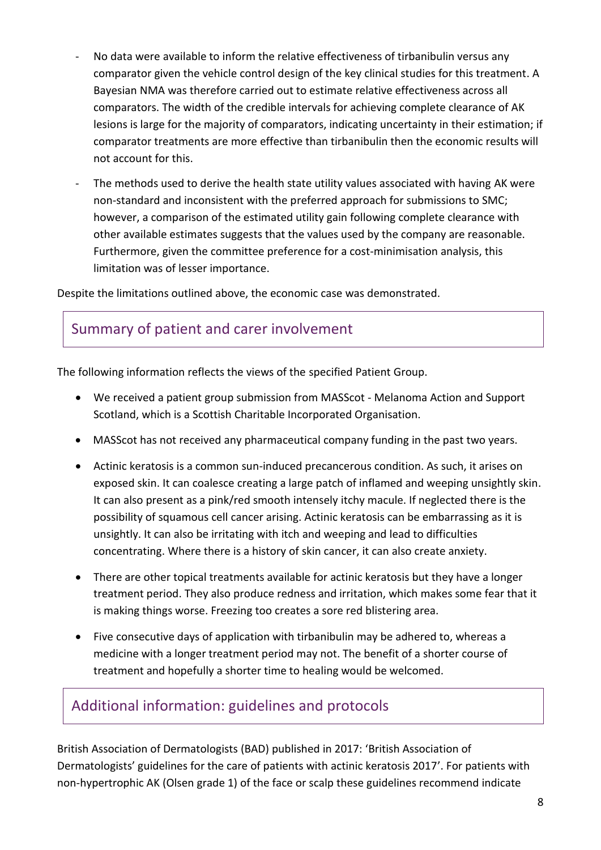- No data were available to inform the relative effectiveness of tirbanibulin versus any comparator given the vehicle control design of the key clinical studies for this treatment. A Bayesian NMA was therefore carried out to estimate relative effectiveness across all comparators. The width of the credible intervals for achieving complete clearance of AK lesions is large for the majority of comparators, indicating uncertainty in their estimation; if comparator treatments are more effective than tirbanibulin then the economic results will not account for this.
- The methods used to derive the health state utility values associated with having AK were non-standard and inconsistent with the preferred approach for submissions to SMC; however, a comparison of the estimated utility gain following complete clearance with other available estimates suggests that the values used by the company are reasonable. Furthermore, given the committee preference for a cost-minimisation analysis, this limitation was of lesser importance.

Despite the limitations outlined above, the economic case was demonstrated.

#### Summary of patient and carer involvement

The following information reflects the views of the specified Patient Group.

- We received a patient group submission from MASScot Melanoma Action and Support Scotland, which is a Scottish Charitable Incorporated Organisation.
- MASScot has not received any pharmaceutical company funding in the past two years.
- Actinic keratosis is a common sun-induced precancerous condition. As such, it arises on exposed skin. It can coalesce creating a large patch of inflamed and weeping unsightly skin. It can also present as a pink/red smooth intensely itchy macule. If neglected there is the possibility of squamous cell cancer arising. Actinic keratosis can be embarrassing as it is unsightly. It can also be irritating with itch and weeping and lead to difficulties concentrating. Where there is a history of skin cancer, it can also create anxiety.
- There are other topical treatments available for actinic keratosis but they have a longer treatment period. They also produce redness and irritation, which makes some fear that it is making things worse. Freezing too creates a sore red blistering area.
- Five consecutive days of application with tirbanibulin may be adhered to, whereas a medicine with a longer treatment period may not. The benefit of a shorter course of treatment and hopefully a shorter time to healing would be welcomed.

#### Additional information: guidelines and protocols

British Association of Dermatologists (BAD) published in 2017: 'British Association of Dermatologists' guidelines for the care of patients with actinic keratosis 2017'. For patients with non-hypertrophic AK (Olsen grade 1) of the face or scalp these guidelines recommend indicate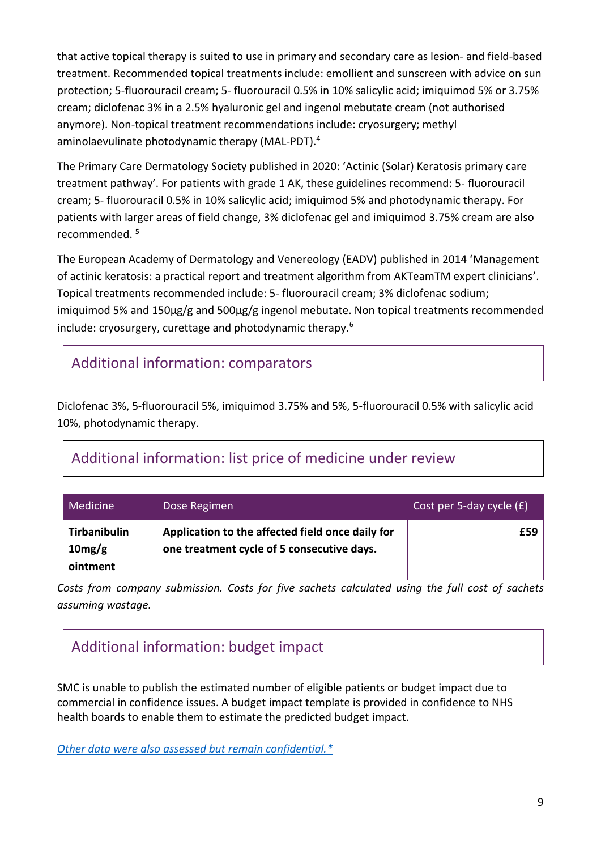that active topical therapy is suited to use in primary and secondary care as lesion- and field-based treatment. Recommended topical treatments include: emollient and sunscreen with advice on sun protection; 5-fluorouracil cream; 5- fluorouracil 0.5% in 10% salicylic acid; imiquimod 5% or 3.75% cream; diclofenac 3% in a 2.5% hyaluronic gel and ingenol mebutate cream (not authorised anymore). Non-topical treatment recommendations include: cryosurgery; methyl aminolaevulinate photodynamic therapy (MAL-PDT).<sup>4</sup>

The Primary Care Dermatology Society published in 2020: 'Actinic (Solar) Keratosis primary care treatment pathway'. For patients with grade 1 AK, these guidelines recommend: 5- fluorouracil cream; 5- fluorouracil 0.5% in 10% salicylic acid; imiquimod 5% and photodynamic therapy. For patients with larger areas of field change, 3% diclofenac gel and imiquimod 3.75% cream are also recommended. <sup>5</sup>

The European Academy of Dermatology and Venereology (EADV) published in 2014 'Management of actinic keratosis: a practical report and treatment algorithm from AKTeamTM expert clinicians'. Topical treatments recommended include: 5- fluorouracil cream; 3% diclofenac sodium; imiquimod 5% and 150μg/g and 500μg/g ingenol mebutate. Non topical treatments recommended include: cryosurgery, curettage and photodynamic therapy.<sup>6</sup>

## Additional information: comparators

Diclofenac 3%, 5-fluorouracil 5%, imiquimod 3.75% and 5%, 5-fluorouracil 0.5% with salicylic acid 10%, photodynamic therapy.

## Additional information: list price of medicine under review

| <b>Medicine</b>                           | Dose Regimen                                                                                   | Cost per 5-day cycle $(E)$ |
|-------------------------------------------|------------------------------------------------------------------------------------------------|----------------------------|
| <b>Tirbanibulin</b><br>10mg/g<br>ointment | Application to the affected field once daily for<br>one treatment cycle of 5 consecutive days. | £59                        |

*Costs from company submission. Costs for five sachets calculated using the full cost of sachets assuming wastage.* 

# Additional information: budget impact

SMC is unable to publish the estimated number of eligible patients or budget impact due to commercial in confidence issues. A budget impact template is provided in confidence to NHS health boards to enable them to estimate the predicted budget impact.

*[Other data were also assessed but remain confidential.\\*](https://www.scottishmedicines.org.uk/media/3572/20180710-release-of-company-data.pdf)*